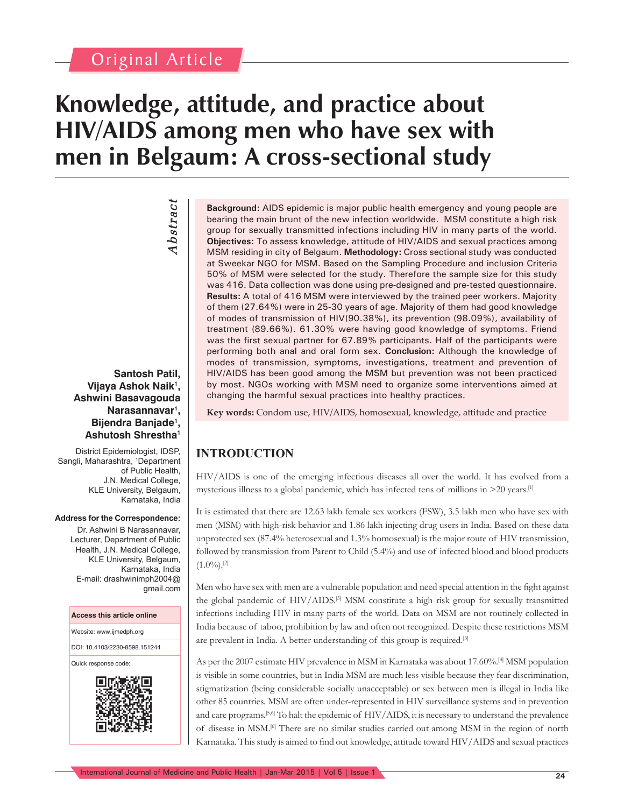# Original Article

*Abstract*

Abstract

# **Knowledge, attitude, and practice about HIV/AIDS among men who have sex with men in Belgaum: A cross-sectional study**

**Santosh Patil, Vijaya Ashok Naik1 , Ashwini Basavagouda Narasannavar1 , Bijendra Banjade1 , Ashutosh Shrestha1**

District Epidemiologist, IDSP, Sangli, Maharashtra, <sup>1</sup>Department of Public Health, J.N. Medical College, KLE University, Belgaum, Karnataka, India

#### **Address for the Correspondence:**

Dr. Ashwini B Narasannavar, Lecturer, Department of Public Health, J.N. Medical College, KLE University, Belgaum, Karnataka, India E-mail: drashwinimph2004@ gmail.com

#### **Access this article online**

Website: www.ijmedph.org

DOI: 10.4103/2230-8598.151244

Quick response code:



**Background:** AIDS epidemic is major public health emergency and young people are bearing the main brunt of the new infection worldwide. MSM constitute a high risk group for sexually transmitted infections including HIV in many parts of the world. **Objectives:** To assess knowledge, attitude of HIV/AIDS and sexual practices among MSM residing in city of Belgaum. **Methodology:** Cross sectional study was conducted at Sweekar NGO for MSM. Based on the Sampling Procedure and inclusion Criteria 50% of MSM were selected for the study. Therefore the sample size for this study was 416. Data collection was done using pre-designed and pre-tested questionnaire. **Results:** A total of 416 MSM were interviewed by the trained peer workers. Majority of them (27.64%) were in 25-30 years of age. Majority of them had good knowledge of modes of transmission of HIV(90.38%), its prevention (98.09%), availability of treatment (89.66%). 61.30% were having good knowledge of symptoms. Friend was the first sexual partner for 67.89% participants. Half of the participants were performing both anal and oral form sex. **Conclusion:** Although the knowledge of modes of transmission, symptoms, investigations, treatment and prevention of HIV/AIDS has been good among the MSM but prevention was not been practiced by most. NGOs working with MSM need to organize some interventions aimed at changing the harmful sexual practices into healthy practices.

**Key words:** Condom use, HIV/AIDS, homosexual, knowledge, attitude and practice

# **INTRODUCTION**

HIV/AIDS is one of the emerging infectious diseases all over the world. It has evolved from a mysterious illness to a global pandemic, which has infected tens of millions in  $>$ 20 years.<sup>[1]</sup>

It is estimated that there are 12.63 lakh female sex workers (FSW), 3.5 lakh men who have sex with men (MSM) with high-risk behavior and 1.86 lakh injecting drug users in India. Based on these data unprotected sex (87.4% heterosexual and 1.3% homosexual) is the major route of HIV transmission, followed by transmission from Parent to Child (5.4%) and use of infected blood and blood products  $(1.0\%)$ <sup>[2]</sup>

Men who have sex with men are a vulnerable population and need special attention in the fight against the global pandemic of HIV/AIDS.[3] MSM constitute a high risk group for sexually transmitted infections including HIV in many parts of the world. Data on MSM are not routinely collected in India because of taboo, prohibition by law and often not recognized. Despite these restrictions MSM are prevalent in India. A better understanding of this group is required.[3]

As per the 2007 estimate HIV prevalence in MSM in Karnataka was about 17.60%.[4] MSM population is visible in some countries, but in India MSM are much less visible because they fear discrimination, stigmatization (being considerable socially unacceptable) or sex between men is illegal in India like other 85 countries. MSM are often under-represented in HIV surveillance systems and in prevention and care programs.[5,6] To halt the epidemic of HIV/AIDS, it is necessary to understand the prevalence of disease in MSM.[6] There are no similar studies carried out among MSM in the region of north Karnataka. This study is aimed to find out knowledge, attitude toward HIV/AIDS and sexual practices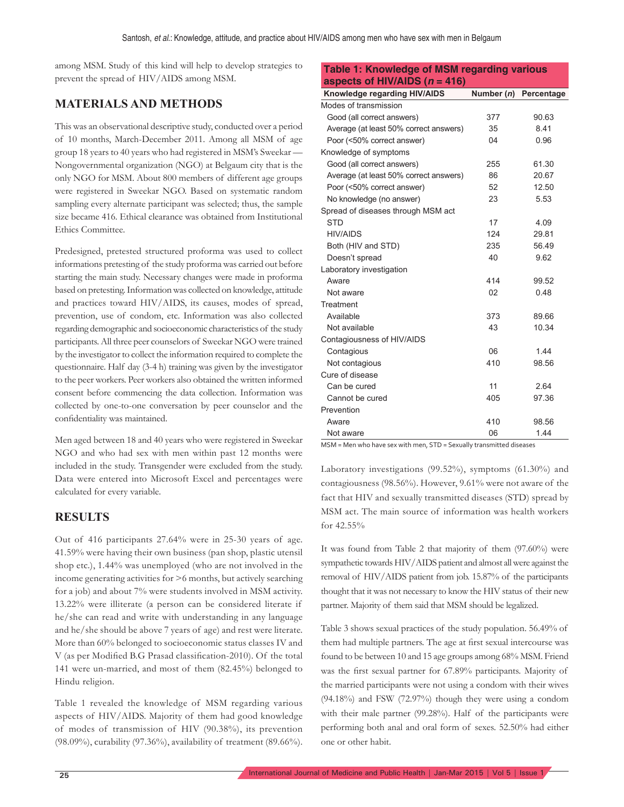among MSM. Study of this kind will help to develop strategies to prevent the spread of HIV/AIDS among MSM.

### **MATERIALS AND METHODS**

This was an observational descriptive study, conducted over a period of 10 months, March-December 2011. Among all MSM of age group 18 years to 40 years who had registered in MSM's Sweekar — Nongovernmental organization (NGO) at Belgaum city that is the only NGO for MSM. About 800 members of different age groups were registered in Sweekar NGO. Based on systematic random sampling every alternate participant was selected; thus, the sample size became 416. Ethical clearance was obtained from Institutional Ethics Committee.

Predesigned, pretested structured proforma was used to collect informations pretesting of the study proforma was carried out before starting the main study. Necessary changes were made in proforma based on pretesting. Information was collected on knowledge, attitude and practices toward HIV/AIDS, its causes, modes of spread, prevention, use of condom, etc. Information was also collected regarding demographic and socioeconomic characteristics of the study participants. All three peer counselors of Sweekar NGO were trained by the investigator to collect the information required to complete the questionnaire. Half day (3-4 h) training was given by the investigator to the peer workers. Peer workers also obtained the written informed consent before commencing the data collection. Information was collected by one-to-one conversation by peer counselor and the confidentiality was maintained.

Men aged between 18 and 40 years who were registered in Sweekar NGO and who had sex with men within past 12 months were included in the study. Transgender were excluded from the study. Data were entered into Microsoft Excel and percentages were calculated for every variable.

#### **RESULTS**

Out of 416 participants 27.64% were in 25-30 years of age. 41.59% were having their own business (pan shop, plastic utensil shop etc.), 1.44% was unemployed (who are not involved in the income generating activities for >6 months, but actively searching for a job) and about 7% were students involved in MSM activity. 13.22% were illiterate (a person can be considered literate if he/she can read and write with understanding in any language and he/she should be above 7 years of age) and rest were literate. More than 60% belonged to socioeconomic status classes IV and V (as per Modified B.G Prasad classification-2010). Of the total 141 were un-married, and most of them (82.45%) belonged to Hindu religion.

Table 1 revealed the knowledge of MSM regarding various aspects of HIV/AIDS. Majority of them had good knowledge of modes of transmission of HIV (90.38%), its prevention (98.09%), curability (97.36%), availability of treatment (89.66%).

| <b>Table 1: Knowledge of MSM regarding various</b> |            |            |  |  |  |
|----------------------------------------------------|------------|------------|--|--|--|
| aspects of HIV/AIDS $(n = 416)$                    |            |            |  |  |  |
| Knowledge regarding HIV/AIDS                       | Number (n) | Percentage |  |  |  |
| Modes of transmission                              |            |            |  |  |  |
| Good (all correct answers)                         | 377        | 90.63      |  |  |  |
| Average (at least 50% correct answers)             | 35         | 8.41       |  |  |  |
| Poor (<50% correct answer)                         | 04         | 0.96       |  |  |  |
| Knowledge of symptoms                              |            |            |  |  |  |
| Good (all correct answers)                         | 255        | 61.30      |  |  |  |
| Average (at least 50% correct answers)             | 86         | 20.67      |  |  |  |
| Poor (<50% correct answer)                         | 52         | 12.50      |  |  |  |
| No knowledge (no answer)                           | 23         | 5.53       |  |  |  |
| Spread of diseases through MSM act                 |            |            |  |  |  |
| <b>STD</b>                                         | 17         | 4.09       |  |  |  |
| <b>HIV/AIDS</b>                                    | 124        | 29.81      |  |  |  |
| Both (HIV and STD)                                 | 235        | 56.49      |  |  |  |
| Doesn't spread                                     | 40         | 9.62       |  |  |  |
| Laboratory investigation                           |            |            |  |  |  |
| Aware                                              | 414        | 99.52      |  |  |  |
| Not aware                                          | 02         | 0.48       |  |  |  |
| Treatment                                          |            |            |  |  |  |
| Available                                          | 373        | 89.66      |  |  |  |
| Not available                                      | 43         | 10.34      |  |  |  |
| Contagiousness of HIV/AIDS                         |            |            |  |  |  |
| Contagious                                         | 06         | 1.44       |  |  |  |
| Not contagious                                     | 410        | 98.56      |  |  |  |
| Cure of disease                                    |            |            |  |  |  |
| Can be cured                                       | 11         | 2.64       |  |  |  |
| Cannot be cured                                    | 405        | 97.36      |  |  |  |
| Prevention                                         |            |            |  |  |  |
| Aware                                              | 410        | 98.56      |  |  |  |
| Not aware                                          | 06         | 1.44       |  |  |  |

MSM = Men who have sex with men, STD = Sexually transmitted diseases

Laboratory investigations (99.52%), symptoms (61.30%) and contagiousness (98.56%). However, 9.61% were not aware of the fact that HIV and sexually transmitted diseases (STD) spread by MSM act. The main source of information was health workers for 42.55%

It was found from Table 2 that majority of them (97.60%) were sympathetic towards HIV/AIDS patient and almost all were against the removal of HIV/AIDS patient from job. 15.87% of the participants thought that it was not necessary to know the HIV status of their new partner. Majority of them said that MSM should be legalized.

Table 3 shows sexual practices of the study population. 56.49% of them had multiple partners. The age at first sexual intercourse was found to be between 10 and 15 age groups among 68% MSM. Friend was the first sexual partner for 67.89% participants. Majority of the married participants were not using a condom with their wives (94.18%) and FSW (72.97%) though they were using a condom with their male partner (99.28%). Half of the participants were performing both anal and oral form of sexes. 52.50% had either one or other habit.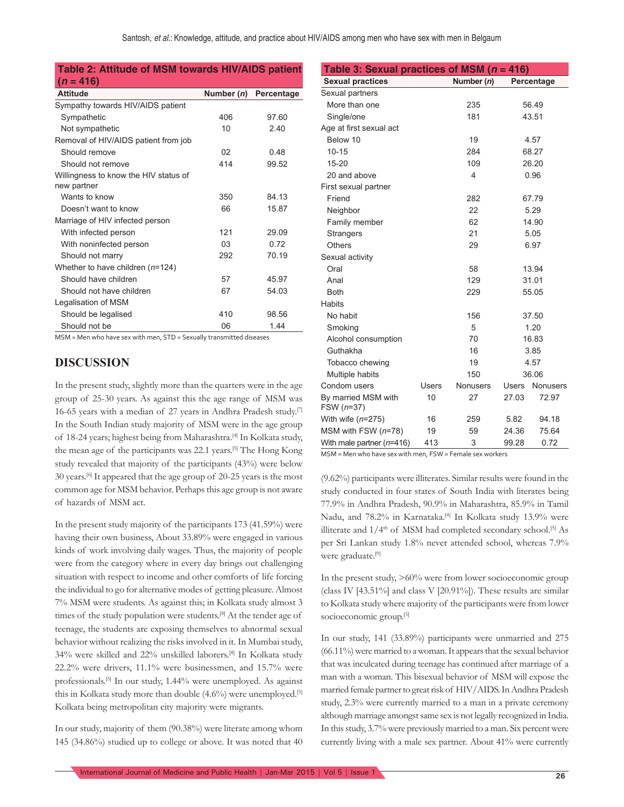#### **Table 2: Attitude of MSM towards HIV/AIDS patient**   $(n = 416)$

| <b>Attitude</b>                       | Number (n) | Percentage |
|---------------------------------------|------------|------------|
| Sympathy towards HIV/AIDS patient     |            |            |
| Sympathetic                           | 406        | 97.60      |
| Not sympathetic                       | 10         | 2.40       |
| Removal of HIV/AIDS patient from job  |            |            |
| Should remove                         | 02         | 0.48       |
| Should not remove                     | 414        | 99.52      |
| Willingness to know the HIV status of |            |            |
| new partner                           |            |            |
| Wants to know                         | 350        | 84.13      |
| Doesn't want to know                  | 66         | 15.87      |
| Marriage of HIV infected person       |            |            |
| With infected person                  | 121        | 29.09      |
| With noninfected person               | 03         | 0.72       |
| Should not marry                      | 292        | 70.19      |
| Whether to have children $(n=124)$    |            |            |
| Should have children                  | 57         | 45.97      |
| Should not have children              | 67         | 54.03      |
| Legalisation of MSM                   |            |            |
| Should be legalised                   | 410        | 98.56      |
| Should not be                         | 06         | 1.44       |

MSM = Men who have sex with men, STD = Sexually transmitted diseases

#### **DISCUSSION**

In the present study, slightly more than the quarters were in the age group of 25-30 years. As against this the age range of MSM was 16-65 years with a median of 27 years in Andhra Pradesh study.[7] In the South Indian study majority of MSM were in the age group of 18-24 years; highest being from Maharashtra.<sup>[4]</sup> In Kolkata study, the mean age of the participants was 22.1 years.[5] The Hong Kong study revealed that majority of the participants (43%) were below 30 years.[6] It appeared that the age group of 20-25 years is the most common age for MSM behavior. Perhaps this age group is not aware of hazards of MSM act.

In the present study majority of the participants 173 (41.59%) were having their own business, About 33.89% were engaged in various kinds of work involving daily wages. Thus, the majority of people were from the category where in every day brings out challenging situation with respect to income and other comforts of life forcing the individual to go for alternative modes of getting pleasure. Almost 7% MSM were students. As against this; in Kolkata study almost 3 times of the study population were students.<sup>[8]</sup> At the tender age of teenage, the students are exposing themselves to abnormal sexual behavior without realizing the risks involved in it. In Mumbai study, 34% were skilled and 22% unskilled laborers.[8] In Kolkata study 22.2% were drivers, 11.1% were businessmen, and 15.7% were professionals.[5] In our study, 1.44% were unemployed. As against this in Kolkata study more than double (4.6%) were unemployed.[5] Kolkata being metropolitan city majority were migrants.

In our study, majority of them (90.38%) were literate among whom 145 (34.86%) studied up to college or above. It was noted that 40

| Table 3: Sexual practices of MSM ( $n = 416$ ) |       |                 |              |            |  |
|------------------------------------------------|-------|-----------------|--------------|------------|--|
| <b>Sexual practices</b>                        |       | Number $(n)$    |              | Percentage |  |
| Sexual partners                                |       |                 |              |            |  |
| More than one                                  |       | 235             | 56.49        |            |  |
| Single/one                                     |       | 181             | 43.51        |            |  |
| Age at first sexual act                        |       |                 |              |            |  |
| Below 10                                       |       | 19              |              | 4.57       |  |
| $10 - 15$                                      |       | 284             |              | 68.27      |  |
| $15 - 20$                                      |       | 109             |              | 26.20      |  |
| 20 and above                                   |       | 4               |              | 0.96       |  |
| First sexual partner                           |       |                 |              |            |  |
| Friend                                         |       | 282             |              | 67.79      |  |
| Neighbor                                       |       | 22              |              | 5.29       |  |
| Family member                                  |       | 62              | 14.90        |            |  |
| <b>Strangers</b>                               |       | 21              | 5.05         |            |  |
| Others                                         |       | 29              | 6.97         |            |  |
| Sexual activity                                |       |                 |              |            |  |
| Oral                                           |       | 58              |              | 13.94      |  |
| Anal                                           |       | 129             | 31.01        |            |  |
| <b>Both</b>                                    |       | 229             | 55.05        |            |  |
| <b>Habits</b>                                  |       |                 |              |            |  |
| No habit                                       |       | 156             | 37.50        |            |  |
| Smoking                                        |       | 5               | 1.20         |            |  |
| Alcohol consumption                            |       | 70              | 16.83        |            |  |
| Guthakha                                       |       | 16              | 3.85         |            |  |
| Tobacco chewing                                |       | 19              | 4.57         |            |  |
| Multiple habits                                |       | 150             | 36.06        |            |  |
| Condom users                                   | Users | <b>Nonusers</b> | <b>Users</b> | Nonusers   |  |
| By married MSM with<br>FSW (n=37)              | 10    | 27              | 27.03        | 72.97      |  |
| With wife $(n=275)$                            | 16    | 259             | 5.82         | 94.18      |  |
| MSM with FSW $(n=78)$                          | 19    | 59              | 24.36        | 75.64      |  |
| With male partner (n=416)                      | 413   | 3               | 99.28        | 0.72       |  |

MSM = Men who have sex with men, FSW = Female sex workers

(9.62%) participants were illiterates. Similar results were found in the study conducted in four states of South India with literates being 77.9% in Andhra Pradesh, 90.9% in Maharashtra, 85.9% in Tamil Nadu, and 78.2% in Karnataka.<sup>[4]</sup> In Kolkata study 13.9% were illiterate and  $1/4^{\text{th}}$  of MSM had completed secondary school.<sup>[5]</sup> As per Sri Lankan study 1.8% never attended school, whereas 7.9% were graduate.[9]

In the present study, >60% were from lower socioeconomic group (class IV [43.51%] and class V [20.91%]). These results are similar to Kolkata study where majority of the participants were from lower socioeconomic group.<sup>[5]</sup>

In our study, 141 (33.89%) participants were unmarried and 275 (66.11%) were married to a woman. It appears that the sexual behavior that was inculcated during teenage has continued after marriage of a man with a woman. This bisexual behavior of MSM will expose the married female partner to great risk of HIV/AIDS. In Andhra Pradesh study, 2.3% were currently married to a man in a private ceremony although marriage amongst same sex is not legally recognized in India. In this study, 3.7% were previously married to a man. Six percent were currently living with a male sex partner. About 41% were currently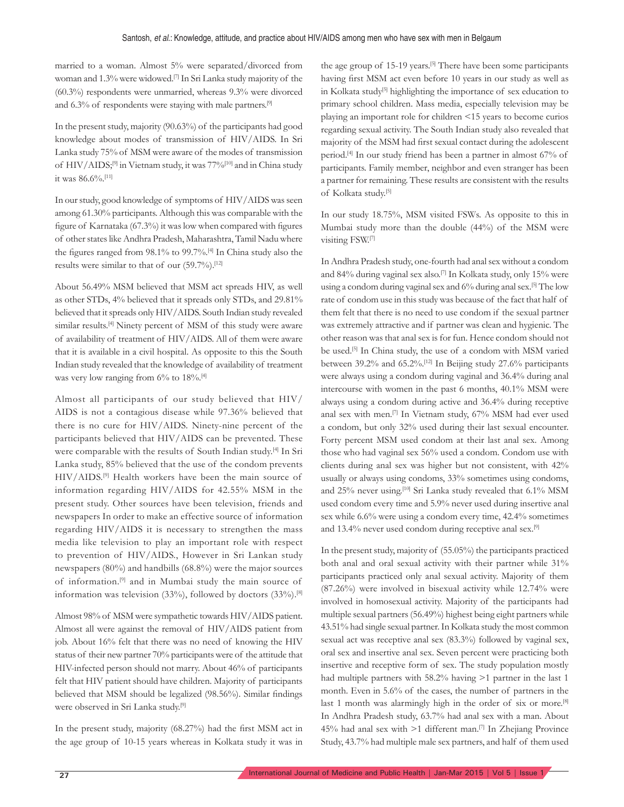married to a woman. Almost 5% were separated/divorced from woman and 1.3% were widowed.[7] In Sri Lanka study majority of the (60.3%) respondents were unmarried, whereas 9.3% were divorced and 6.3% of respondents were staying with male partners.<sup>[9]</sup>

In the present study, majority (90.63%) of the participants had good knowledge about modes of transmission of HIV/AIDS. In Sri Lanka study 75% of MSM were aware of the modes of transmission of HIV/AIDS;<sup>[9]</sup> in Vietnam study, it was 77%<sup>[10]</sup> and in China study it was 86.6%.[11]

In our study, good knowledge of symptoms of HIV/AIDS was seen among 61.30% participants. Although this was comparable with the figure of Karnataka  $(67.3\%)$  it was low when compared with figures of other states like Andhra Pradesh, Maharashtra, Tamil Nadu where the figures ranged from 98.1% to 99.7%.<sup>[4]</sup> In China study also the results were similar to that of our (59.7%).[12]

About 56.49% MSM believed that MSM act spreads HIV, as well as other STDs, 4% believed that it spreads only STDs, and 29.81% believed that it spreads only HIV/AIDS. South Indian study revealed similar results.<sup>[4]</sup> Ninety percent of MSM of this study were aware of availability of treatment of HIV/AIDS. All of them were aware that it is available in a civil hospital. As opposite to this the South Indian study revealed that the knowledge of availability of treatment was very low ranging from 6% to 18%.<sup>[4]</sup>

Almost all participants of our study believed that HIV/ AIDS is not a contagious disease while 97.36% believed that there is no cure for HIV/AIDS. Ninety-nine percent of the participants believed that HIV/AIDS can be prevented. These were comparable with the results of South Indian study.[4] In Sri Lanka study, 85% believed that the use of the condom prevents HIV/AIDS.[9] Health workers have been the main source of information regarding HIV/AIDS for 42.55% MSM in the present study. Other sources have been television, friends and newspapers In order to make an effective source of information regarding HIV/AIDS it is necessary to strengthen the mass media like television to play an important role with respect to prevention of HIV/AIDS., However in Sri Lankan study newspapers (80%) and handbills (68.8%) were the major sources of information.[9] and in Mumbai study the main source of information was television (33%), followed by doctors (33%).[8]

Almost 98% of MSM were sympathetic towards HIV/AIDS patient. Almost all were against the removal of HIV/AIDS patient from job. About 16% felt that there was no need of knowing the HIV status of their new partner 70% participants were of the attitude that HIV-infected person should not marry. About 46% of participants felt that HIV patient should have children. Majority of participants believed that MSM should be legalized (98.56%). Similar findings were observed in Sri Lanka study.[9]

In the present study, majority (68.27%) had the first MSM act in the age group of 10-15 years whereas in Kolkata study it was in the age group of 15-19 years.<sup>[5]</sup> There have been some participants having first MSM act even before 10 years in our study as well as in Kolkata study<sup>[5]</sup> highlighting the importance of sex education to primary school children. Mass media, especially television may be playing an important role for children <15 years to become curios regarding sexual activity. The South Indian study also revealed that majority of the MSM had first sexual contact during the adolescent period.[4] In our study friend has been a partner in almost 67% of participants. Family member, neighbor and even stranger has been a partner for remaining. These results are consistent with the results of Kolkata study.[5]

In our study 18.75%, MSM visited FSWs. As opposite to this in Mumbai study more than the double (44%) of the MSM were visiting FSW.[7]

In Andhra Pradesh study, one-fourth had anal sex without a condom and 84% during vaginal sex also.[7] In Kolkata study, only 15% were using a condom during vaginal sex and 6% during anal sex.[5] The low rate of condom use in this study was because of the fact that half of them felt that there is no need to use condom if the sexual partner was extremely attractive and if partner was clean and hygienic. The other reason was that anal sex is for fun. Hence condom should not be used.<sup>[5]</sup> In China study, the use of a condom with MSM varied between 39.2% and 65.2%.[12] In Beijing study 27.6% participants were always using a condom during vaginal and 36.4% during anal intercourse with women in the past 6 months, 40.1% MSM were always using a condom during active and 36.4% during receptive anal sex with men.[7] In Vietnam study, 67% MSM had ever used a condom, but only 32% used during their last sexual encounter. Forty percent MSM used condom at their last anal sex. Among those who had vaginal sex 56% used a condom. Condom use with clients during anal sex was higher but not consistent, with 42% usually or always using condoms, 33% sometimes using condoms, and 25% never using.<sup>[10]</sup> Sri Lanka study revealed that 6.1% MSM used condom every time and 5.9% never used during insertive anal sex while 6.6% were using a condom every time, 42.4% sometimes and 13.4% never used condom during receptive anal sex.[9]

In the present study, majority of (55.05%) the participants practiced both anal and oral sexual activity with their partner while 31% participants practiced only anal sexual activity. Majority of them (87.26%) were involved in bisexual activity while 12.74% were involved in homosexual activity. Majority of the participants had multiple sexual partners (56.49%) highest being eight partners while 43.51% had single sexual partner. In Kolkata study the most common sexual act was receptive anal sex (83.3%) followed by vaginal sex, oral sex and insertive anal sex. Seven percent were practicing both insertive and receptive form of sex. The study population mostly had multiple partners with 58.2% having >1 partner in the last 1 month. Even in 5.6% of the cases, the number of partners in the last 1 month was alarmingly high in the order of six or more.<sup>[8]</sup> In Andhra Pradesh study, 63.7% had anal sex with a man. About 45% had anal sex with >1 different man.[7] In Zhejiang Province Study, 43.7% had multiple male sex partners, and half of them used